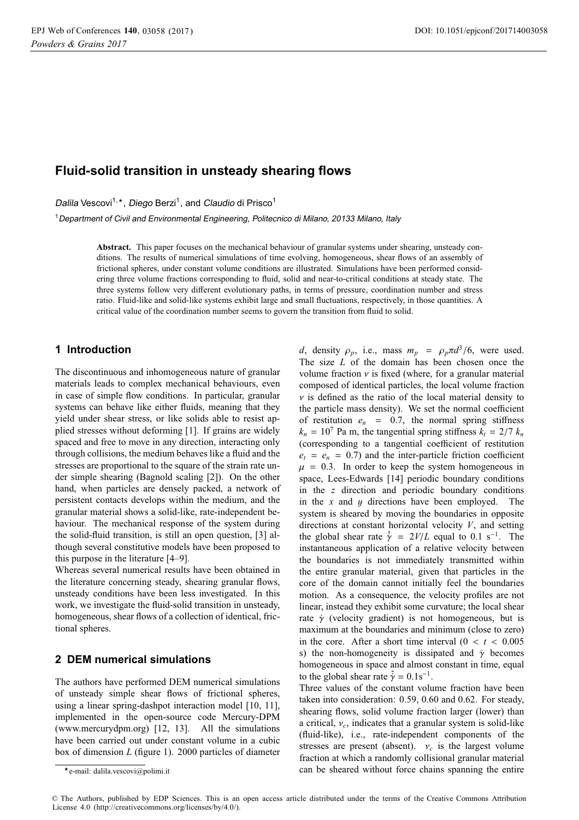# **Fluid-solid transition in unsteady shearing flows**

Dalila Vescovi<sup>1,</sup>\*, *Diego* Berzi<sup>1</sup>, and *Claudio* di Prisco<sup>1</sup>

<sup>1</sup>Department of Civil and Environmental Engineering, Politecnico di Milano, <sup>20133</sup> Milano, Italy

**Abstract.** This paper focuses on the mechanical behaviour of granular systems under shearing, unsteady conditions. The results of numerical simulations of time evolving, homogeneous, shear flows of an assembly of frictional spheres, under constant volume conditions are illustrated. Simulations have been performed considering three volume fractions corresponding to fluid, solid and near-to-critical conditions at steady state. The three systems follow very different evolutionary paths, in terms of pressure, coordination number and stress ratio. Fluid-like and solid-like systems exhibit large and small fluctuations, respectively, in those quantities. A critical value of the coordination number seems to govern the transition from fluid to solid.

# **1 Introduction**

The discontinuous and inhomogeneous nature of granular materials leads to complex mechanical behaviours, even in case of simple flow conditions. In particular, granular systems can behave like either fluids, meaning that they yield under shear stress, or like solids able to resist applied stresses without deforming [1]. If grains are widely spaced and free to move in any direction, interacting only through collisions, the medium behaves like a fluid and the stresses are proportional to the square of the strain rate under simple shearing (Bagnold scaling [2]). On the other hand, when particles are densely packed, a network of persistent contacts develops within the medium, and the granular material shows a solid-like, rate-independent behaviour. The mechanical response of the system during the solid-fluid transition, is still an open question, [3] although several constitutive models have been proposed to this purpose in the literature [4–9].

Whereas several numerical results have been obtained in the literature concerning steady, shearing granular flows, unsteady conditions have been less investigated. In this work, we investigate the fluid-solid transition in unsteady, homogeneous, shear flows of a collection of identical, frictional spheres.

#### **2 DEM numerical simulations**

The authors have performed DEM numerical simulations of unsteady simple shear flows of frictional spheres, using a linear spring-dashpot interaction model [10, 11], implemented in the open-source code Mercury-DPM (www.mercurydpm.org) [12, 13]. All the simulations have been carried out under constant volume in a cubic box of dimension *L* (figure 1). 2000 particles of diameter

*d*, density  $\rho_p$ , i.e., mass  $m_p = \rho_p \pi d^3/6$ , were used. The size *L* of the domain has been chosen once the volume fraction  $\nu$  is fixed (where, for a granular material composed of identical particles, the local volume fraction  $\nu$  is defined as the ratio of the local material density to the particle mass density). We set the normal coefficient of restitution  $e_n = 0.7$ , the normal spring stiffness  $k_n = 10^7$  Pa m, the tangential spring stiffness  $k_t = 2/7$   $k_n$ (corresponding to a tangential coefficient of restitution  $e_t = e_n = 0.7$  and the inter-particle friction coefficient  $\mu$  = 0.3. In order to keep the system homogeneous in space, Lees-Edwards [14] periodic boundary conditions in the *z* direction and periodic boundary conditions in the *x* and y directions have been employed. The system is sheared by moving the boundaries in opposite directions at constant horizontal velocity *V*, and setting the global shear rate  $\hat{\gamma} = 2V/L$  equal to 0.1 s<sup>-1</sup>. The instantaneous application of a relative velocity between the boundaries is not immediately transmitted within the entire granular material, given that particles in the core of the domain cannot initially feel the boundaries motion. As a consequence, the velocity profiles are not linear, instead they exhibit some curvature; the local shear rate  $\dot{y}$  (velocity gradient) is not homogeneous, but is maximum at the boundaries and minimum (close to zero) in the core. After a short time interval  $(0 < t < 0.005$ s) the non-homogeneity is dissipated and  $\dot{\gamma}$  becomes homogeneous in space and almost constant in time, equal to the global shear rate  $\hat{\gamma} = 0.1 \text{s}^{-1}$ .

Three values of the constant volume fraction have been taken into consideration: 0.59, 0.60 and 0.62. For steady, shearing flows, solid volume fraction larger (lower) than a critical, ν*c*, indicates that a granular system is solid-like (fluid-like), i.e., rate-independent components of the stresses are present (absent).  $v_c$  is the largest volume fraction at which a randomly collisional granular material can be sheared without force chains spanning the entire

© The Authors, published by EDP Sciences. This is an open access article distributed under the terms of the Creative Commons Attribution License 4.0 (http://creativecommons.org/licenses/by/4.0/).

<sup>-</sup>e-mail: dalila.vescovi@polimi.it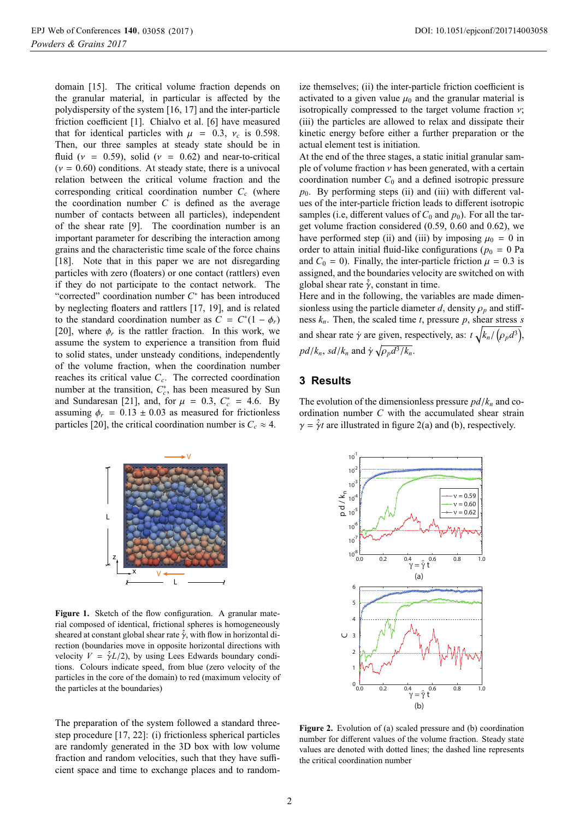domain [15]. The critical volume fraction depends on the granular material, in particular is affected by the polydispersity of the system [16, 17] and the inter-particle friction coefficient [1]. Chialvo et al. [6] have measured that for identical particles with  $\mu$  = 0.3,  $v_c$  is 0.598. Then, our three samples at steady state should be in fluid ( $v = 0.59$ ), solid ( $v = 0.62$ ) and near-to-critical  $(v = 0.60)$  conditions. At steady state, there is a univocal relation between the critical volume fraction and the corresponding critical coordination number *Cc* (where the coordination number *C* is defined as the average number of contacts between all particles), independent of the shear rate [9]. The coordination number is an important parameter for describing the interaction among grains and the characteristic time scale of the force chains [18]. Note that in this paper we are not disregarding particles with zero (floaters) or one contact (rattlers) even if they do not participate to the contact network. The "corrected" coordination number *C*<sup>∗</sup> has been introduced by neglecting floaters and rattlers [17, 19], and is related to the standard coordination number as  $C = C^*(1 - \phi_r)$ [20], where  $\phi_r$  is the rattler fraction. In this work, we assume the system to experience a transition from fluid to solid states, under unsteady conditions, independently of the volume fraction, when the coordination number reaches its critical value *Cc*. The corrected coordination number at the transition,  $C_c^*$ , has been measured by Sun and Sundaresan [21], and, for  $\mu = 0.3$ ,  $C_c^* = 4.6$ . By assuming  $\phi_r = 0.13 \pm 0.03$  as measured for frictionless particles [20], the critical coordination number is  $C_c \approx 4$ .



Figure 1. Sketch of the flow configuration. A granular material composed of identical, frictional spheres is homogeneously sheared at constant global shear rate  $\hat{\gamma}$ , with flow in horizontal direction (boundaries move in opposite horizontal directions with velocity  $V = \hat{\gamma}L/2$ , by using Lees Edwards boundary conditions. Colours indicate speed, from blue (zero velocity of the particles in the core of the domain) to red (maximum velocity of the particles at the boundaries)

The preparation of the system followed a standard threestep procedure [17, 22]: (i) frictionless spherical particles are randomly generated in the 3D box with low volume fraction and random velocities, such that they have sufficient space and time to exchange places and to randomize themselves; (ii) the inter-particle friction coefficient is activated to a given value  $\mu_0$  and the granular material is isotropically compressed to the target volume fraction  $v$ ; (iii) the particles are allowed to relax and dissipate their kinetic energy before either a further preparation or the actual element test is initiation.

At the end of the three stages, a static initial granular sample of volume fraction  $\nu$  has been generated, with a certain coordination number  $C_0$  and a defined isotropic pressure  $p_0$ . By performing steps (ii) and (iii) with different values of the inter-particle friction leads to different isotropic samples (i.e, different values of  $C_0$  and  $p_0$ ). For all the target volume fraction considered (0.59, 0.60 and 0.62), we have performed step (ii) and (iii) by imposing  $\mu_0 = 0$  in order to attain initial fluid-like configurations ( $p_0 = 0$  Pa and  $C_0 = 0$ ). Finally, the inter-particle friction  $\mu = 0.3$  is assigned, and the boundaries velocity are switched on with global shear rate  $\hat{\dot{\gamma}}$ , constant in time.

Here and in the following, the variables are made dimensionless using the particle diameter *d*, density  $\rho_p$  and stiffness *kn*. Then, the scaled time *t*, pressure *p*, shear stress *s* and shear rate  $\dot{\gamma}$  are given, respectively, as:  $t\sqrt{k_n/(\rho_p d^3)}$ ,  $pd/k_n$ , *sd*/*k<sub>n</sub>* and  $\dot{\gamma} \sqrt{\rho_p d^3/k_n}$ .

### **3 Results**

The evolution of the dimensionless pressure  $pd/k_n$  and coordination number *C* with the accumulated shear strain  $\gamma = \hat{\gamma}t$  are illustrated in figure 2(a) and (b), respectively.



**Figure 2.** Evolution of (a) scaled pressure and (b) coordination number for different values of the volume fraction. Steady state values are denoted with dotted lines; the dashed line represents the critical coordination number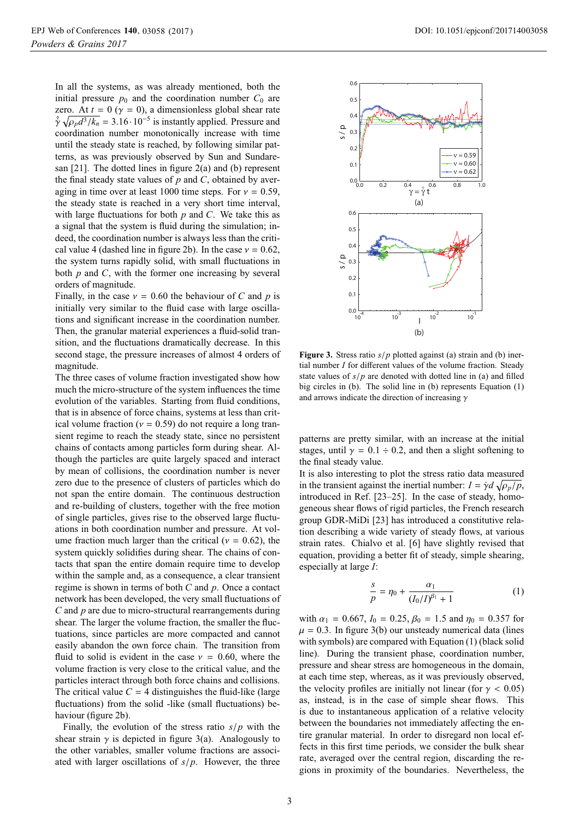In all the systems, as was already mentioned, both the initial pressure  $p_0$  and the coordination number  $C_0$  are zero. At  $t = 0$  ( $\gamma = 0$ ), a dimensionless global shear rate  $\hat{\gamma} \sqrt{\rho_p d^3 / k_n} = 3.16 \cdot 10^{-5}$  is instantly applied. Pressure and coordination number monotonically increase with time until the steady state is reached, by following similar patterns, as was previously observed by Sun and Sundaresan [21]. The dotted lines in figure 2(a) and (b) represent the final steady state values of *p* and *C*, obtained by averaging in time over at least 1000 time steps. For  $v = 0.59$ , the steady state is reached in a very short time interval, with large fluctuations for both *p* and *C*. We take this as a signal that the system is fluid during the simulation; indeed, the coordination number is always less than the critical value 4 (dashed line in figure 2b). In the case  $v = 0.62$ , the system turns rapidly solid, with small fluctuations in both *p* and *C*, with the former one increasing by several orders of magnitude.

Finally, in the case  $v = 0.60$  the behaviour of *C* and *p* is initially very similar to the fluid case with large oscillations and significant increase in the coordination number. Then, the granular material experiences a fluid-solid transition, and the fluctuations dramatically decrease. In this second stage, the pressure increases of almost 4 orders of magnitude.

The three cases of volume fraction investigated show how much the micro-structure of the system influences the time evolution of the variables. Starting from fluid conditions, that is in absence of force chains, systems at less than critical volume fraction ( $v = 0.59$ ) do not require a long transient regime to reach the steady state, since no persistent chains of contacts among particles form during shear. Although the particles are quite largely spaced and interact by mean of collisions, the coordination number is never zero due to the presence of clusters of particles which do not span the entire domain. The continuous destruction and re-building of clusters, together with the free motion of single particles, gives rise to the observed large fluctuations in both coordination number and pressure. At volume fraction much larger than the critical ( $v = 0.62$ ), the system quickly solidifies during shear. The chains of contacts that span the entire domain require time to develop within the sample and, as a consequence, a clear transient regime is shown in terms of both *C* and *p*. Once a contact network has been developed, the very small fluctuations of *C* and *p* are due to micro-structural rearrangements during shear. The larger the volume fraction, the smaller the fluctuations, since particles are more compacted and cannot easily abandon the own force chain. The transition from fluid to solid is evident in the case  $v = 0.60$ , where the volume fraction is very close to the critical value, and the particles interact through both force chains and collisions. The critical value  $C = 4$  distinguishes the fluid-like (large fluctuations) from the solid -like (small fluctuations) behaviour (figure 2b).

Finally, the evolution of the stress ratio *s*/*p* with the shear strain  $\gamma$  is depicted in figure 3(a). Analogously to the other variables, smaller volume fractions are associated with larger oscillations of *s*/*p*. However, the three



**Figure 3.** Stress ratio *<sup>s</sup>*/*<sup>p</sup>* plotted against (a) strain and (b) inertial number *I* for different values of the volume fraction. Steady state values of *s*/*p* are denoted with dotted line in (a) and filled big circles in (b). The solid line in (b) represents Equation (1) and arrows indicate the direction of increasing  $\gamma$ 

patterns are pretty similar, with an increase at the initial stages, until  $\gamma = 0.1 \div 0.2$ , and then a slight softening to the final steady value.

It is also interesting to plot the stress ratio data measured in the transient against the inertial number:  $I = \dot{\gamma}d\sqrt{\rho_p/p}$ , introduced in Ref. [23–25]. In the case of steady, homogeneous shear flows of rigid particles, the French research group GDR-MiDi [23] has introduced a constitutive relation describing a wide variety of steady flows, at various strain rates. Chialvo et al. [6] have slightly revised that equation, providing a better fit of steady, simple shearing, especially at large *I*:

$$
\frac{s}{p} = \eta_0 + \frac{\alpha_1}{(I_0/I)^{\beta_1} + 1} \tag{1}
$$

with  $\alpha_1 = 0.667$ ,  $I_0 = 0.25$ ,  $\beta_0 = 1.5$  and  $\eta_0 = 0.357$  for  $\mu = 0.3$ . In figure 3(b) our unsteady numerical data (lines with symbols) are compared with Equation (1) (black solid line). During the transient phase, coordination number, pressure and shear stress are homogeneous in the domain, at each time step, whereas, as it was previously observed, the velocity profiles are initially not linear (for  $\gamma$  < 0.05) as, instead, is in the case of simple shear flows. This is due to instantaneous application of a relative velocity between the boundaries not immediately affecting the entire granular material. In order to disregard non local effects in this first time periods, we consider the bulk shear rate, averaged over the central region, discarding the regions in proximity of the boundaries. Nevertheless, the